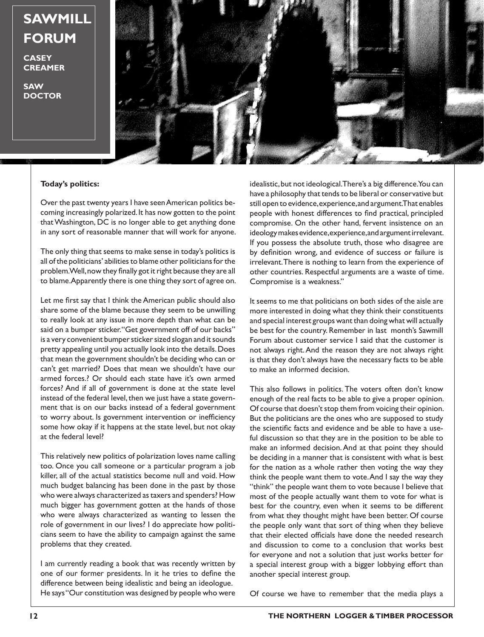## **SAWMILL FORUM**

**CASEY CREAMER**

**SAW DOCTOR**



## **Today's politics:**

Over the past twenty years I have seen American politics becoming increasingly polarized. It has now gotten to the point that Washington, DC is no longer able to get anything done in any sort of reasonable manner that will work for anyone.

The only thing that seems to make sense in today's politics is all of the politicians' abilities to blame other politicians for the problem. Well, now they finally got it right because they are all to blame. Apparently there is one thing they sort of agree on.

Let me first say that I think the American public should also share some of the blame because they seem to be unwilling to really look at any issue in more depth than what can be said on a bumper sticker. "Get government off of our backs" is a very convenient bumper sticker sized slogan and it sounds pretty appealing until you actually look into the details. Does that mean the government shouldn't be deciding who can or can't get married? Does that mean we shouldn't have our armed forces.? Or should each state have it's own armed forces? And if all of government is done at the state level instead of the federal level, then we just have a state government that is on our backs instead of a federal government to worry about. Is government intervention or inefficiency some how okay if it happens at the state level, but not okay at the federal level?

This relatively new politics of polarization loves name calling too. Once you call someone or a particular program a job killer, all of the actual statistics become null and void. How much budget balancing has been done in the past by those who were always characterized as taxers and spenders? How much bigger has government gotten at the hands of those who were always characterized as wanting to lessen the role of government in our lives? I do appreciate how politicians seem to have the ability to campaign against the same problems that they created.

I am currently reading a book that was recently written by one of our former presidents. In it he tries to define the difference between being idealistic and being an ideologue. He says "Our constitution was designed by people who were

idealistic, but not ideological. There's a big difference. You can have a philosophy that tends to be liberal or conservative but still open to evidence, experience, and argument. That enables people with honest differences to find practical, principled compromise. On the other hand, fervent insistence on an ideology makes evidence, experience, and argument irrelevant. If you possess the absolute truth, those who disagree are by definition wrong, and evidence of success or failure is irrelevant. There is nothing to learn from the experience of other countries. Respectful arguments are a waste of time. Compromise is a weakness."

It seems to me that politicians on both sides of the aisle are more interested in doing what they think their constituents and special interest groups want than doing what will actually be best for the country. Remember in last month's Sawmill Forum about customer service I said that the customer is not always right. And the reason they are not always right is that they don't always have the necessary facts to be able to make an informed decision.

This also follows in politics. The voters often don't know enough of the real facts to be able to give a proper opinion. Of course that doesn't stop them from voicing their opinion. But the politicians are the ones who are supposed to study the scientific facts and evidence and be able to have a useful discussion so that they are in the position to be able to make an informed decision. And at that point they should be deciding in a manner that is consistent with what is best for the nation as a whole rather then voting the way they think the people want them to vote. And I say the way they "think" the people want them to vote because I believe that most of the people actually want them to vote for what is best for the country, even when it seems to be different from what they thought might have been better. Of course the people only want that sort of thing when they believe that their elected officials have done the needed research and discussion to come to a conclusion that works best for everyone and not a solution that just works better for a special interest group with a bigger lobbying effort than another special interest group.

Of course we have to remember that the media plays a